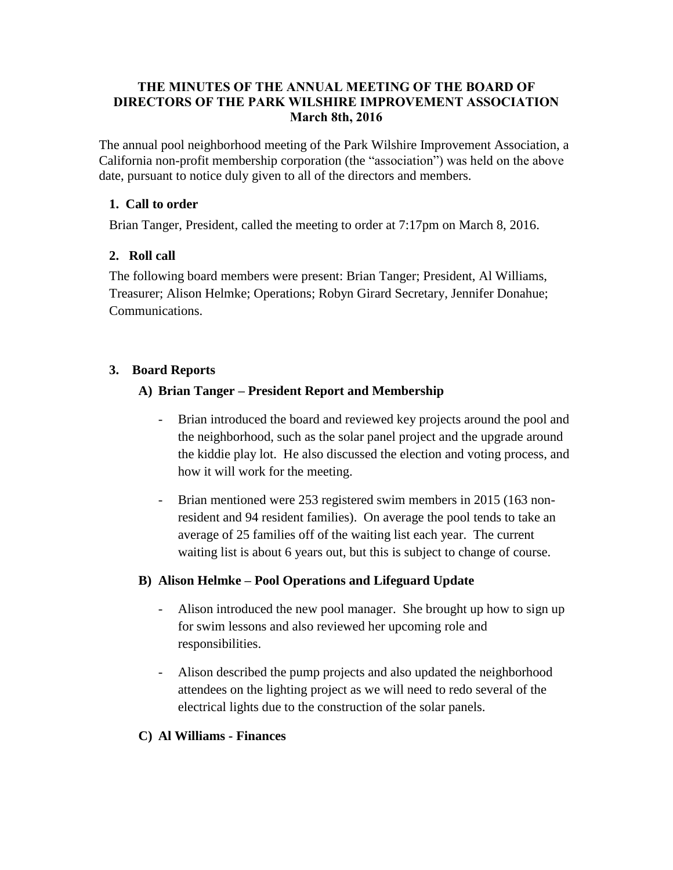#### **THE MINUTES OF THE ANNUAL MEETING OF THE BOARD OF DIRECTORS OF THE PARK WILSHIRE IMPROVEMENT ASSOCIATION March 8th, 2016**

The annual pool neighborhood meeting of the Park Wilshire Improvement Association, a California non-profit membership corporation (the "association") was held on the above date, pursuant to notice duly given to all of the directors and members.

#### **1. Call to order**

Brian Tanger, President, called the meeting to order at 7:17pm on March 8, 2016.

## **2. Roll call**

The following board members were present: Brian Tanger; President, Al Williams, Treasurer; Alison Helmke; Operations; Robyn Girard Secretary, Jennifer Donahue; Communications.

## **3. Board Reports**

## **A) Brian Tanger – President Report and Membership**

- Brian introduced the board and reviewed key projects around the pool and the neighborhood, such as the solar panel project and the upgrade around the kiddie play lot. He also discussed the election and voting process, and how it will work for the meeting.
- Brian mentioned were 253 registered swim members in 2015 (163 nonresident and 94 resident families). On average the pool tends to take an average of 25 families off of the waiting list each year. The current waiting list is about 6 years out, but this is subject to change of course.

## **B) Alison Helmke – Pool Operations and Lifeguard Update**

- Alison introduced the new pool manager. She brought up how to sign up for swim lessons and also reviewed her upcoming role and responsibilities.
- Alison described the pump projects and also updated the neighborhood attendees on the lighting project as we will need to redo several of the electrical lights due to the construction of the solar panels.

## **C) Al Williams - Finances**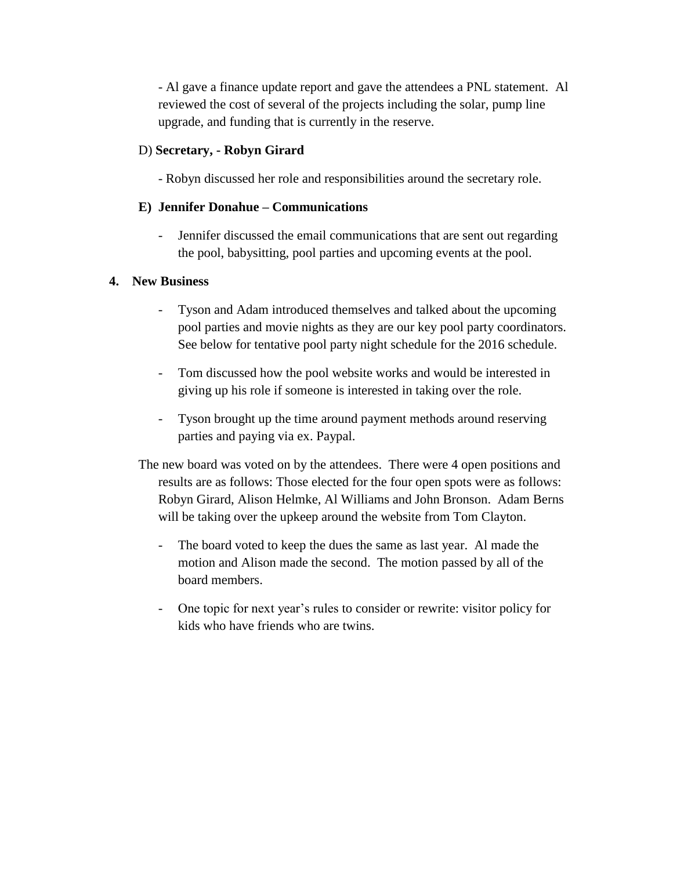- Al gave a finance update report and gave the attendees a PNL statement.Al reviewed the cost of several of the projects including the solar, pump line upgrade, and funding that is currently in the reserve.

#### D) **Secretary, - Robyn Girard**

- Robyn discussed her role and responsibilities around the secretary role.

#### **E) Jennifer Donahue – Communications**

- Jennifer discussed the email communications that are sent out regarding the pool, babysitting, pool parties and upcoming events at the pool.

#### **4. New Business**

- Tyson and Adam introduced themselves and talked about the upcoming pool parties and movie nights as they are our key pool party coordinators. See below for tentative pool party night schedule for the 2016 schedule.
- Tom discussed how the pool website works and would be interested in giving up his role if someone is interested in taking over the role.
- Tyson brought up the time around payment methods around reserving parties and paying via ex. Paypal.
- The new board was voted on by the attendees. There were 4 open positions and results are as follows: Those elected for the four open spots were as follows: Robyn Girard, Alison Helmke, Al Williams and John Bronson. Adam Berns will be taking over the upkeep around the website from Tom Clayton.
	- The board voted to keep the dues the same as last year. Al made the motion and Alison made the second. The motion passed by all of the board members.
	- One topic for next year's rules to consider or rewrite: visitor policy for kids who have friends who are twins.